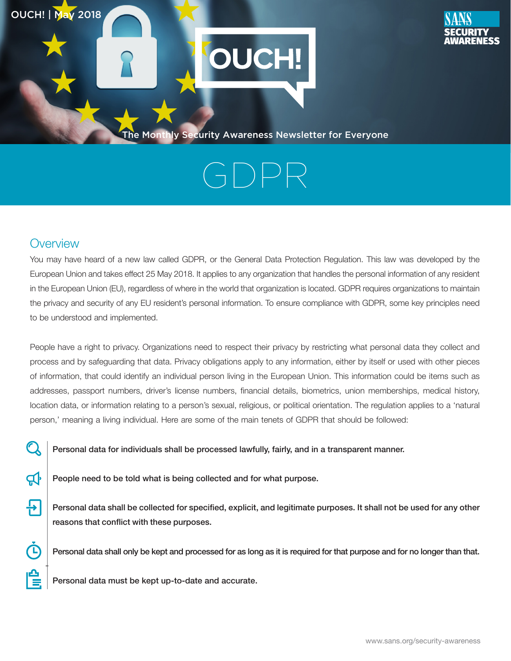

The Monthly Security Awareness Newsletter for Everyone

**DUCH!** 

## $\vert \neg \vert$  ) $\vert \neg \vert$

## **Overview**

**OUCH! | May 2018** 

 $\frac{1}{1}$ 

**P** 

 $\overline{\mathbf{P}}$ 

**T** 

You may have heard of a new law called GDPR, or the General Data Protection Regulation. This law was developed by the European Union and takes effect 25 May 2018. It applies to any organization that handles the personal information of any resident in the European Union (EU), regardless of where in the world that organization is located. GDPR requires organizations to maintain the privacy and security of any EU resident's personal information. To ensure compliance with GDPR, some key principles need to be understood and implemented.

People have a right to privacy. Organizations need to respect their privacy by restricting what personal data they collect and process and by safeguarding that data. Privacy obligations apply to any information, either by itself or used with other pieces of information, that could identify an individual person living in the European Union. This information could be items such as addresses, passport numbers, driver's license numbers, financial details, biometrics, union memberships, medical history, location data, or information relating to a person's sexual, religious, or political orientation. The regulation applies to a 'natural person,' meaning a living individual. Here are some of the main tenets of GDPR that should be followed:

Personal data for individuals shall be processed lawfully, fairly, and in a transparent manner.

People need to be told what is being collected and for what purpose.

Personal data shall be collected for specified, explicit, and legitimate purposes. It shall not be used for any other reasons that conflict with these purposes.

Personal data shall only be kept and processed for as long as it is required for that purpose and for no longer than that.

Personal data must be kept up-to-date and accurate.